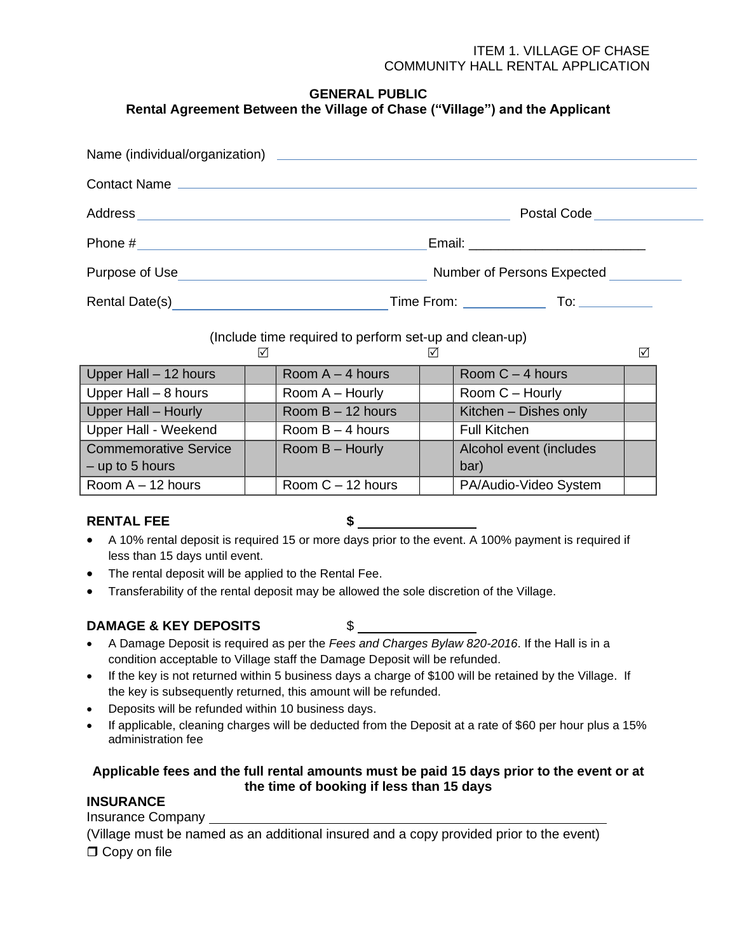# **GENERAL PUBLIC**

# **Rental Agreement Between the Village of Chase ("Village") and the Applicant**

| Contact Name                                                                                                                                                                                                                         |                              |
|--------------------------------------------------------------------------------------------------------------------------------------------------------------------------------------------------------------------------------------|------------------------------|
|                                                                                                                                                                                                                                      | Postal Code <u> Letteral</u> |
|                                                                                                                                                                                                                                      |                              |
| Purpose of Use <u>contract the contract of the set of the set of the set of the set of the set of the set of the set of the set of the set of the set of the set of the set of the set of the set of the set of the set of the s</u> | Number of Persons Expected   |
| Rental Date(s)                                                                                                                                                                                                                       |                              |

(Include time required to perform set-up and clean-up)

| Upper Hall - 12 hours        | Room $A - 4$ hours  | Room $C - 4$ hours      |  |
|------------------------------|---------------------|-------------------------|--|
| Upper Hall - 8 hours         | Room A - Hourly     | Room C - Hourly         |  |
| Upper Hall - Hourly          | Room $B - 12$ hours | Kitchen - Dishes only   |  |
| Upper Hall - Weekend         | Room $B - 4$ hours  | <b>Full Kitchen</b>     |  |
| <b>Commemorative Service</b> | Room B - Hourly     | Alcohol event (includes |  |
| $-$ up to 5 hours            |                     | bar)                    |  |
| Room $A - 12$ hours          | Room $C - 12$ hours | PA/Audio-Video System   |  |

#### **RENTAL FEE \$**

- A 10% rental deposit is required 15 or more days prior to the event. A 100% payment is required if less than 15 days until event.
- The rental deposit will be applied to the Rental Fee.
- Transferability of the rental deposit may be allowed the sole discretion of the Village.

# **DAMAGE & KEY DEPOSITS** \$

- 
- A Damage Deposit is required as per the *Fees and Charges Bylaw 820-2016*. If the Hall is in a condition acceptable to Village staff the Damage Deposit will be refunded.
- If the key is not returned within 5 business days a charge of \$100 will be retained by the Village. If the key is subsequently returned, this amount will be refunded.
- Deposits will be refunded within 10 business days.
- If applicable, cleaning charges will be deducted from the Deposit at a rate of \$60 per hour plus a 15% administration fee

# **Applicable fees and the full rental amounts must be paid 15 days prior to the event or at the time of booking if less than 15 days**

# **INSURANCE**

Insurance Company

(Village must be named as an additional insured and a copy provided prior to the event) **O** Copy on file